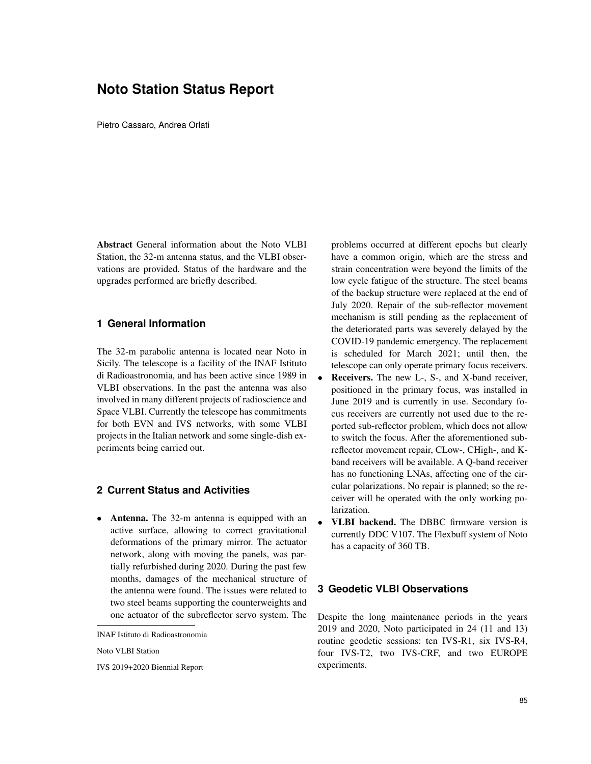# **Noto Station Status Report**

Pietro Cassaro, Andrea Orlati

Abstract General information about the Noto VLBI Station, the 32-m antenna status, and the VLBI observations are provided. Status of the hardware and the upgrades performed are briefly described.

#### **1 General Information**

The 32-m parabolic antenna is located near Noto in Sicily. The telescope is a facility of the INAF Istituto di Radioastronomia, and has been active since 1989 in VLBI observations. In the past the antenna was also involved in many different projects of radioscience and Space VLBI. Currently the telescope has commitments for both EVN and IVS networks, with some VLBI projects in the Italian network and some single-dish experiments being carried out.

#### **2 Current Status and Activities**

• Antenna. The 32-m antenna is equipped with an active surface, allowing to correct gravitational deformations of the primary mirror. The actuator network, along with moving the panels, was partially refurbished during 2020. During the past few months, damages of the mechanical structure of the antenna were found. The issues were related to two steel beams supporting the counterweights and one actuator of the subreflector servo system. The

Noto VLBI Station

IVS 2019+2020 Biennial Report

problems occurred at different epochs but clearly have a common origin, which are the stress and strain concentration were beyond the limits of the low cycle fatigue of the structure. The steel beams of the backup structure were replaced at the end of July 2020. Repair of the sub-reflector movement mechanism is still pending as the replacement of the deteriorated parts was severely delayed by the COVID-19 pandemic emergency. The replacement is scheduled for March 2021; until then, the telescope can only operate primary focus receivers.

- **Receivers.** The new L-, S-, and X-band receiver, positioned in the primary focus, was installed in June 2019 and is currently in use. Secondary focus receivers are currently not used due to the reported sub-reflector problem, which does not allow to switch the focus. After the aforementioned subreflector movement repair, CLow-, CHigh-, and Kband receivers will be available. A Q-band receiver has no functioning LNAs, affecting one of the circular polarizations. No repair is planned; so the receiver will be operated with the only working polarization.
- VLBI backend. The DBBC firmware version is currently DDC V107. The Flexbuff system of Noto has a capacity of 360 TB.

### **3 Geodetic VLBI Observations**

Despite the long maintenance periods in the years 2019 and 2020, Noto participated in 24 (11 and 13) routine geodetic sessions: ten IVS-R1, six IVS-R4, four IVS-T2, two IVS-CRF, and two EUROPE experiments.

INAF Istituto di Radioastronomia